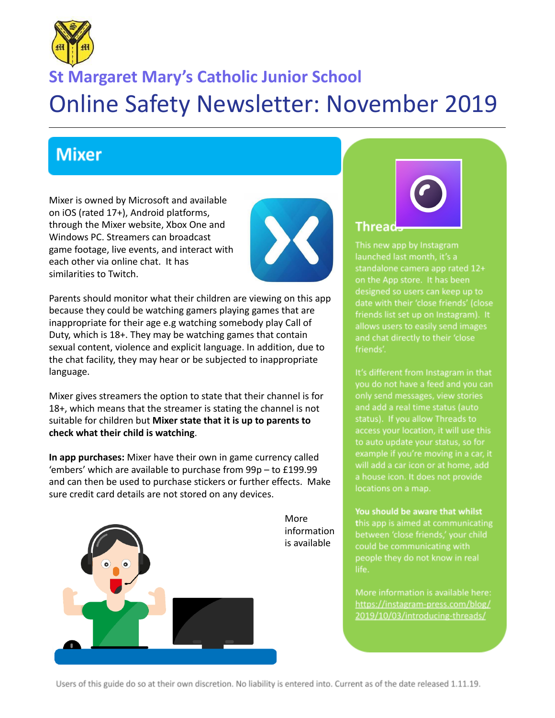

## **St Margaret Mary's Catholic Junior School** Online Safety Newsletter: November 2019

## **Mixer**

Mixer is owned by Microsoft and available on iOS (rated 17+), Android platforms, through the Mixer website, Xbox One and Windows PC. Streamers can broadcast game footage, live events, and interact with each other via online chat. It has similarities to Twitch.



Parents should monitor what their children are viewing on this app because they could be watching gamers playing games that are inappropriate for their age e.g watching somebody play Call of Duty, which is 18+. They may be watching games that contain sexual content, violence and explicit language. In addition, due to the chat facility, they may hear or be subjected to inappropriate language.

Mixer gives streamers the option to state that their channel is for 18+, which means that the streamer is stating the channel is not suitable for children but **Mixer state that it is up to parents to check what their child is watching**.

**In app purchases:** Mixer have their own in game currency called 'embers' which are available to purchase from 99p – to £199.99 and can then be used to purchase stickers or further effects. Make sure credit card details are not stored on any devices.



# Thread.

This new app by Instagram launched last month, it's a standalone camera app rated 12+ on the App store. It has been designed so users can keep up to date with their 'close friends' (close friends list set up on Instagram). It allows users to easily send images friends'.

It's different from Instagram in that only send messages, view stories status). If you allow Threads to access your location, it will use this to auto update your status, so for example if you're moving in a car, it will add a car icon or at home, add a house icon. It does not provide locations on a map.

You should be aware that whilst this app is aimed at communicating between 'close friends,' your child could be communicating with people they do not know in real life.

https://instagram-press.com/blog/ 2019/10/03/introducing-threads/

Users of this guide do so at their own discretion. No liability is entered into. Current as of the date released 1.11.19.